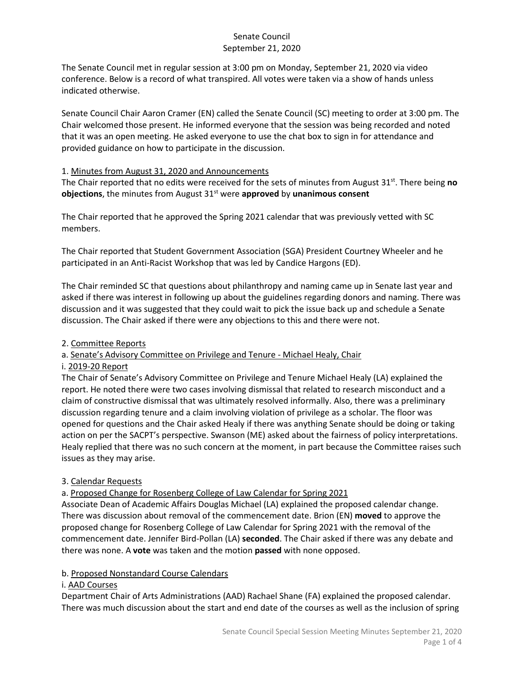The Senate Council met in regular session at 3:00 pm on Monday, September 21, 2020 via video conference. Below is a record of what transpired. All votes were taken via a show of hands unless indicated otherwise.

Senate Council Chair Aaron Cramer (EN) called the Senate Council (SC) meeting to order at 3:00 pm. The Chair welcomed those present. He informed everyone that the session was being recorded and noted that it was an open meeting. He asked everyone to use the chat box to sign in for attendance and provided guidance on how to participate in the discussion.

#### 1. Minutes from August 31, 2020 and Announcements

The Chair reported that no edits were received for the sets of minutes from August 31st. There being **no objections**, the minutes from August 31st were **approved** by **unanimous consent**

The Chair reported that he approved the Spring 2021 calendar that was previously vetted with SC members.

The Chair reported that Student Government Association (SGA) President Courtney Wheeler and he participated in an Anti-Racist Workshop that was led by Candice Hargons (ED).

The Chair reminded SC that questions about philanthropy and naming came up in Senate last year and asked if there was interest in following up about the guidelines regarding donors and naming. There was discussion and it was suggested that they could wait to pick the issue back up and schedule a Senate discussion. The Chair asked if there were any objections to this and there were not.

#### 2. Committee Reports

## a. Senate's Advisory Committee on Privilege and Tenure - Michael Healy, Chair

#### i. 2019-20 Report

The Chair of Senate's Advisory Committee on Privilege and Tenure Michael Healy (LA) explained the report. He noted there were two cases involving dismissal that related to research misconduct and a claim of constructive dismissal that was ultimately resolved informally. Also, there was a preliminary discussion regarding tenure and a claim involving violation of privilege as a scholar. The floor was opened for questions and the Chair asked Healy if there was anything Senate should be doing or taking action on per the SACPT's perspective. Swanson (ME) asked about the fairness of policy interpretations. Healy replied that there was no such concern at the moment, in part because the Committee raises such issues as they may arise.

## 3. Calendar Requests

a. Proposed Change for Rosenberg College of Law Calendar for Spring 2021

Associate Dean of Academic Affairs Douglas Michael (LA) explained the proposed calendar change. There was discussion about removal of the commencement date. Brion (EN) **moved** to approve the proposed change for Rosenberg College of Law Calendar for Spring 2021 with the removal of the commencement date. Jennifer Bird-Pollan (LA) **seconded**. The Chair asked if there was any debate and there was none. A **vote** was taken and the motion **passed** with none opposed.

## b. Proposed Nonstandard Course Calendars

#### i. AAD Courses

Department Chair of Arts Administrations (AAD) Rachael Shane (FA) explained the proposed calendar. There was much discussion about the start and end date of the courses as well as the inclusion of spring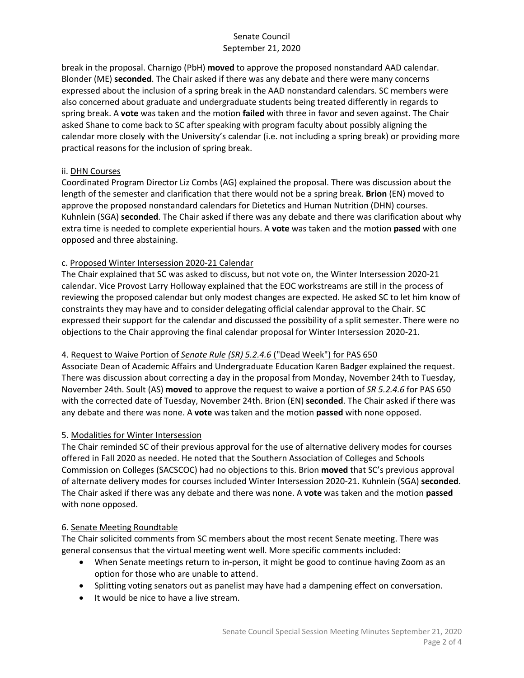break in the proposal. Charnigo (PbH) **moved** to approve the proposed nonstandard AAD calendar. Blonder (ME) **seconded**. The Chair asked if there was any debate and there were many concerns expressed about the inclusion of a spring break in the AAD nonstandard calendars. SC members were also concerned about graduate and undergraduate students being treated differently in regards to spring break. A **vote** was taken and the motion **failed** with three in favor and seven against. The Chair asked Shane to come back to SC after speaking with program faculty about possibly aligning the calendar more closely with the University's calendar (i.e. not including a spring break) or providing more practical reasons for the inclusion of spring break.

#### ii. DHN Courses

Coordinated Program Director Liz Combs (AG) explained the proposal. There was discussion about the length of the semester and clarification that there would not be a spring break. **Brion** (EN) moved to approve the proposed nonstandard calendars for Dietetics and Human Nutrition (DHN) courses. Kuhnlein (SGA) **seconded**. The Chair asked if there was any debate and there was clarification about why extra time is needed to complete experiential hours. A **vote** was taken and the motion **passed** with one opposed and three abstaining.

## c. Proposed Winter Intersession 2020-21 Calendar

The Chair explained that SC was asked to discuss, but not vote on, the Winter Intersession 2020-21 calendar. Vice Provost Larry Holloway explained that the EOC workstreams are still in the process of reviewing the proposed calendar but only modest changes are expected. He asked SC to let him know of constraints they may have and to consider delegating official calendar approval to the Chair. SC expressed their support for the calendar and discussed the possibility of a split semester. There were no objections to the Chair approving the final calendar proposal for Winter Intersession 2020-21.

## 4. Request to Waive Portion of *Senate Rule (SR) 5.2.4.6* ("Dead Week") for PAS 650

Associate Dean of Academic Affairs and Undergraduate Education Karen Badger explained the request. There was discussion about correcting a day in the proposal from Monday, November 24th to Tuesday, November 24th. Soult (AS) **moved** to approve the request to waive a portion of *SR 5.2.4.6* for PAS 650 with the corrected date of Tuesday, November 24th. Brion (EN) **seconded**. The Chair asked if there was any debate and there was none. A **vote** was taken and the motion **passed** with none opposed.

## 5. Modalities for Winter Intersession

The Chair reminded SC of their previous approval for the use of alternative delivery modes for courses offered in Fall 2020 as needed. He noted that the Southern Association of Colleges and Schools Commission on Colleges (SACSCOC) had no objections to this. Brion **moved** that SC's previous approval of alternate delivery modes for courses included Winter Intersession 2020-21. Kuhnlein (SGA) **seconded**. The Chair asked if there was any debate and there was none. A **vote** was taken and the motion **passed** with none opposed.

#### 6. Senate Meeting Roundtable

The Chair solicited comments from SC members about the most recent Senate meeting. There was general consensus that the virtual meeting went well. More specific comments included:

- When Senate meetings return to in-person, it might be good to continue having Zoom as an option for those who are unable to attend.
- Splitting voting senators out as panelist may have had a dampening effect on conversation.
- It would be nice to have a live stream.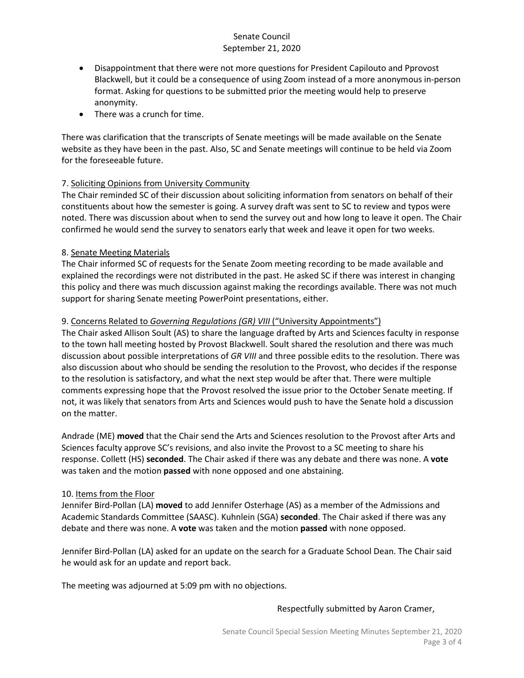- Disappointment that there were not more questions for President Capilouto and Pprovost Blackwell, but it could be a consequence of using Zoom instead of a more anonymous in-person format. Asking for questions to be submitted prior the meeting would help to preserve anonymity.
- There was a crunch for time.

There was clarification that the transcripts of Senate meetings will be made available on the Senate website as they have been in the past. Also, SC and Senate meetings will continue to be held via Zoom for the foreseeable future.

# 7. Soliciting Opinions from University Community

The Chair reminded SC of their discussion about soliciting information from senators on behalf of their constituents about how the semester is going. A survey draft was sent to SC to review and typos were noted. There was discussion about when to send the survey out and how long to leave it open. The Chair confirmed he would send the survey to senators early that week and leave it open for two weeks.

# 8. Senate Meeting Materials

The Chair informed SC of requests for the Senate Zoom meeting recording to be made available and explained the recordings were not distributed in the past. He asked SC if there was interest in changing this policy and there was much discussion against making the recordings available. There was not much support for sharing Senate meeting PowerPoint presentations, either.

## 9. Concerns Related to *Governing Regulations (GR) VIII* ("University Appointments")

The Chair asked Allison Soult (AS) to share the language drafted by Arts and Sciences faculty in response to the town hall meeting hosted by Provost Blackwell. Soult shared the resolution and there was much discussion about possible interpretations of *GR VIII* and three possible edits to the resolution. There was also discussion about who should be sending the resolution to the Provost, who decides if the response to the resolution is satisfactory, and what the next step would be after that. There were multiple comments expressing hope that the Provost resolved the issue prior to the October Senate meeting. If not, it was likely that senators from Arts and Sciences would push to have the Senate hold a discussion on the matter.

Andrade (ME) **moved** that the Chair send the Arts and Sciences resolution to the Provost after Arts and Sciences faculty approve SC's revisions, and also invite the Provost to a SC meeting to share his response. Collett (HS) **seconded**. The Chair asked if there was any debate and there was none. A **vote** was taken and the motion **passed** with none opposed and one abstaining.

## 10. Items from the Floor

Jennifer Bird-Pollan (LA) **moved** to add Jennifer Osterhage (AS) as a member of the Admissions and Academic Standards Committee (SAASC). Kuhnlein (SGA) **seconded**. The Chair asked if there was any debate and there was none. A **vote** was taken and the motion **passed** with none opposed.

Jennifer Bird-Pollan (LA) asked for an update on the search for a Graduate School Dean. The Chair said he would ask for an update and report back.

The meeting was adjourned at 5:09 pm with no objections.

## Respectfully submitted by Aaron Cramer,